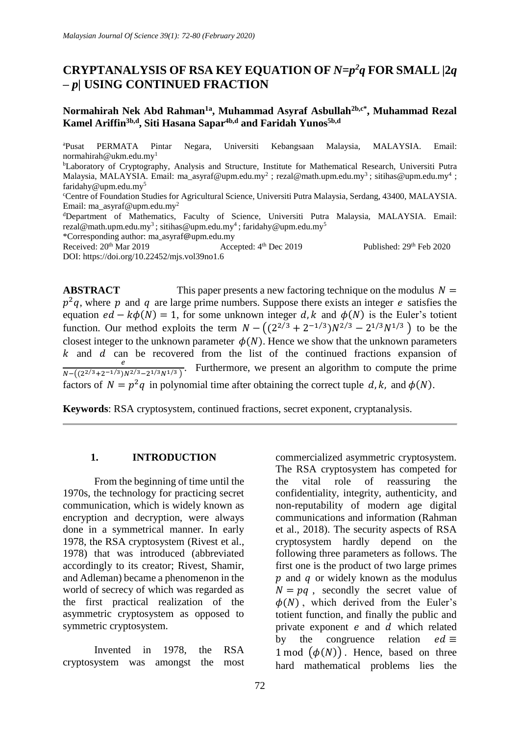# **CRYPTANALYSIS OF RSA KEY EQUATION OF** *N=p <sup>2</sup>q* **FOR SMALL** *|***2***q – p|* **USING CONTINUED FRACTION**

# **Normahirah Nek Abd Rahman1a , Muhammad Asyraf Asbullah2b,c\* , Muhammad Rezal Kamel Ariffin3b,d , Siti Hasana Sapar4b,d and Faridah Yunos5b,d**

<sup>a</sup>Pusat PERMATA Pintar Negara, Universiti Kebangsaan Malaysia, MALAYSIA. Email: [normahirah@ukm.edu.my](mailto:normahirah@ukm.edu.my1)<sup>1</sup> <sup>b</sup>Laboratory of Cryptography, Analysis and Structure, Institute for Mathematical Research, Universiti Putra Malaysia, MALAYSIA. Email: [ma\\_asyraf@upm.edu.my](mailto:ma_asyraf@upm.edu.my)<sup>2</sup> ; [rezal@math.upm.edu.my](mailto:rezal@math.upm.edu.my3)<sup>3</sup> ; [sitihas@upm.edu.my](mailto:sitihas@upm.edu.my4)<sup>4</sup> ; [faridahy@upm.edu.my](mailto:faridahy@upm.edu.my5)<sup>5</sup> <sup>c</sup>Centre of Foundation Studies for Agricultural Science, Universiti Putra Malaysia, Serdang, 43400, MALAYSIA. Email: [ma\\_asyraf@upm.edu.my](mailto:ma_asyraf@upm.edu.my2)<sup>2</sup> <sup>d</sup>Department of Mathematics, Faculty of Science, Universiti Putra Malaysia, MALAYSIA. Email: [rezal@math.upm.edu.my](mailto:rezal@math.upm.edu.my3)<sup>3</sup>; [sitihas@upm.edu.my](mailto:sitihas@upm.edu.my4)<sup>4</sup>; [faridahy@upm.edu.my](mailto:faridahy@upm.edu.my5)<sup>5</sup> \*Corresponding author: ma\_asyraf@[upm.edu.my](mailto:ma_asyraf@upm.edu.my) Received:  $20^{th}$  Mar 2019 Published: 29<sup>th</sup> Feb 2020 DOI:<https://doi.org/10.22452/mjs.vol39no1.6>

**ABSTRACT** This paper presents a new factoring technique on the modulus  $N =$  $p^2q$ , where p and q are large prime numbers. Suppose there exists an integer e satisfies the equation  $ed - k\phi(N) = 1$ , for some unknown integer d, k and  $\phi(N)$  is the Euler's totient function. Our method exploits the term  $N - ((2^{2/3} + 2^{-1/3})N^{2/3} - 2^{1/3}N^{1/3})$  to be the closest integer to the unknown parameter  $\phi(N)$ . Hence we show that the unknown parameters  $k$  and  $d$  can be recovered from the list of the continued fractions expansion of  $\boldsymbol{e}$  $\frac{e}{N-\left((2^{2/3}+2^{-1/3})N^{2/3}-2^{1/3}N^{1/3}\right)}$ . Furthermore, we present an algorithm to compute the prime factors of  $N = p^2q$  in polynomial time after obtaining the correct tuple d, k, and  $\phi(N)$ .

**Keywords**: RSA cryptosystem, continued fractions, secret exponent, cryptanalysis.

## **1. INTRODUCTION**

From the beginning of time until the 1970s, the technology for practicing secret communication, which is widely known as encryption and decryption, were always done in a symmetrical manner. In early 1978, the RSA cryptosystem (Rivest et al., 1978) that was introduced (abbreviated accordingly to its creator; Rivest, Shamir, and Adleman) became a phenomenon in the world of secrecy of which was regarded as the first practical realization of the asymmetric cryptosystem as opposed to symmetric cryptosystem.

Invented in 1978, the RSA cryptosystem was amongst the most

commercialized asymmetric cryptosystem. The RSA cryptosystem has competed for the vital role of reassuring the confidentiality, integrity, authenticity, and non-reputability of modern age digital communications and information (Rahman et al., 2018). The security aspects of RSA cryptosystem hardly depend on the following three parameters as follows. The first one is the product of two large primes  $\boldsymbol{v}$  and  $\boldsymbol{q}$  or widely known as the modulus  $N = pa$ , secondly the secret value of  $\phi(N)$ , which derived from the Euler's totient function, and finally the public and private exponent  $e$  and  $d$  which related by the congruence relation  $ed \equiv$ 1 mod  $(\phi(N))$ . Hence, based on three hard mathematical problems lies the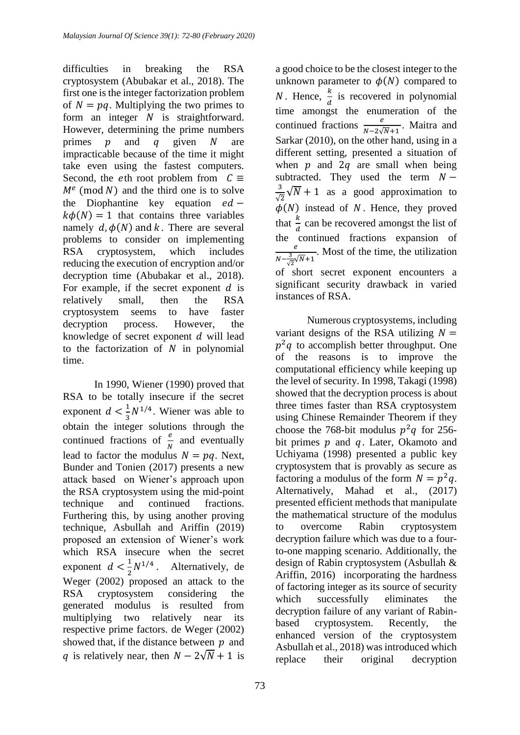difficulties in breaking the RSA cryptosystem (Abubakar et al., 2018). The first one is the integer factorization problem of  $N = pq$ . Multiplying the two primes to form an integer  $N$  is straightforward. However, determining the prime numbers primes  $p$  and  $q$  given  $N$  are impracticable because of the time it might take even using the fastest computers. Second, the eth root problem from  $C \equiv$  $M<sup>e</sup>$  (mod N) and the third one is to solve the Diophantine key equation  $ed$  –  $k\phi(N) = 1$  that contains three variables namely  $d, \phi(N)$  and k. There are several problems to consider on implementing RSA cryptosystem, which includes reducing the execution of encryption and/or decryption time (Abubakar et al., 2018). For example, if the secret exponent  $d$  is relatively small, then the RSA cryptosystem seems to have faster decryption process. However, the knowledge of secret exponent  $d$  will lead to the factorization of  $N$  in polynomial time.

In 1990, Wiener (1990) proved that RSA to be totally insecure if the secret exponent  $d < \frac{1}{2}$  $\frac{1}{3}N^{1/4}$ . Wiener was able to obtain the integer solutions through the continued fractions of  $\frac{e}{N}$  and eventually lead to factor the modulus  $N = pq$ . Next, Bunder and Tonien (2017) presents a new attack based on Wiener's approach upon the RSA cryptosystem using the mid-point technique and continued fractions. Furthering this, by using another proving technique, Asbullah and Ariffin (2019) proposed an extension of Wiener's work which RSA insecure when the secret exponent  $d < \frac{1}{2}$  $\frac{1}{2}N^{1/4}$ . Alternatively, de Weger (2002) proposed an attack to the RSA cryptosystem considering the generated modulus is resulted from multiplying two relatively near its respective prime factors. de Weger (2002) showed that, if the distance between  $p$  and q is relatively near, then  $N - 2\sqrt{N} + 1$  is

a good choice to be the closest integer to the unknown parameter to  $\phi(N)$  compared to *N*. Hence,  $\frac{k}{d}$  is recovered in polynomial time amongst the enumeration of the continued fractions  $\frac{e}{N-2\sqrt{N}+1}$ . Maitra and Sarkar (2010), on the other hand, using in a different setting, presented a situation of when  $p$  and  $2q$  are small when being subtracted. They used the term  $N -$ 3  $\frac{3}{\sqrt{2}}\sqrt{N}+1$  as a good approximation to  $\phi(N)$  instead of N. Hence, they proved that  $\frac{k}{l}$  can be recovered amongst the list of  $\boldsymbol{d}$ the continued fractions expansion of  $\boldsymbol{e}$  $N-\frac{3}{6}$  $\frac{e}{\sqrt{2}}$   $\sqrt{N+1}$ . Most of the time, the utilization of short secret exponent encounters a significant security drawback in varied instances of RSA.

Numerous cryptosystems, including variant designs of the RSA utilizing  $N =$  $p^2q$  to accomplish better throughput. One of the reasons is to improve the computational efficiency while keeping up the level of security. In 1998, Takagi (1998) showed that the decryption process is about three times faster than RSA cryptosystem using Chinese Remainder Theorem if they choose the 768-bit modulus  $p^2q$  for 256bit primes  $p$  and  $q$ . Later, Okamoto and Uchiyama (1998) presented a public key cryptosystem that is provably as secure as factoring a modulus of the form  $N = p^2 q$ . Alternatively, Mahad et al., (2017) presented efficient methods that manipulate the mathematical structure of the modulus to overcome Rabin cryptosystem decryption failure which was due to a fourto-one mapping scenario. Additionally, the design of Rabin cryptosystem (Asbullah & Ariffin, 2016) incorporating the hardness of factoring integer as its source of security which successfully eliminates the decryption failure of any variant of Rabinbased cryptosystem. Recently, the enhanced version of the cryptosystem Asbullah et al., 2018) was introduced which replace their original decryption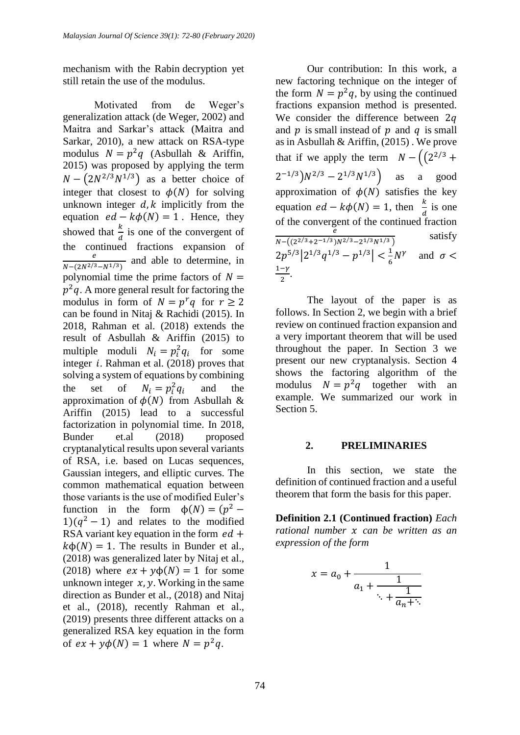mechanism with the Rabin decryption yet still retain the use of the modulus.

Motivated from de Weger's generalization attack (de Weger, 2002) and Maitra and Sarkar's attack (Maitra and Sarkar, 2010), a new attack on RSA-type modulus  $N = p^2q$  (Asbullah & Ariffin, 2015) was proposed by applying the term  $N - (2N^{2/3}N^{1/3})$  as a better choice of integer that closest to  $\phi(N)$  for solving unknown integer  $d, k$  implicitly from the equation  $ed - k\phi(N) = 1$ . Hence, they showed that  $\frac{k}{d}$  is one of the convergent of the continued fractions expansion of e  $\frac{e}{N-(2N^{2/3}-N^{1/3})}$  and able to determine, in polynomial time the prime factors of  $N =$  $p^2q$ . A more general result for factoring the modulus in form of  $N = p^r q$  for  $r \ge 2$ can be found in Nitaj & Rachidi (2015). In 2018, Rahman et al. (2018) extends the result of Asbullah & Ariffin (2015) to multiple moduli  $N_i = p_i^2 q_i$  for some integer  $i$ . Rahman et al. (2018) proves that solving a system of equations by combining the set of  $N_i = p_i^2 q_i$  and the approximation of  $\phi(N)$  from Asbullah & Ariffin (2015) lead to a successful factorization in polynomial time. In 2018, Bunder et.al (2018) proposed cryptanalytical results upon several variants of RSA, i.e. based on Lucas sequences, Gaussian integers, and elliptic curves. The common mathematical equation between those variants is the use of modified Euler's function in the form  $\phi(N) = (p^2 1$ )( $q<sup>2</sup> - 1$ ) and relates to the modified RSA variant key equation in the form  $ed +$  $k\Phi(N) = 1$ . The results in Bunder et al., (2018) was generalized later by Nitaj et al., (2018) where  $ex + y\phi(N) = 1$  for some unknown integer  $x$ ,  $y$ . Working in the same direction as Bunder et al., (2018) and Nitaj et al., (2018), recently Rahman et al., (2019) presents three different attacks on a generalized RSA key equation in the form of  $ex + y\phi(N) = 1$  where  $N = p^2q$ .

Our contribution: In this work, a new factoring technique on the integer of the form  $N = p^2q$ , by using the continued fractions expansion method is presented. We consider the difference between 2q and  $p$  is small instead of  $p$  and  $q$  is small as in Asbullah & Ariffin, (2015) . We prove that if we apply the term  $N - \left( \frac{2^{2}}{3} + \cdots \right)$  $2^{-1/3}$ ) $N^{2/3} - 2^{1/3} N^{1/3}$  as a good approximation of  $\phi(N)$  satisfies the key equation  $ed - k\phi(N) = 1$ , then  $\frac{k}{d}$  is one of the convergent of the continued fraction  $\overline{e}$  $N-((2^{2/3}+2^{-1/3})N^{2/3}-2^{1/3}N^{1/3})$  satisfy  $2p^{5/3}|2^{1/3}q^{1/3}-p^{1/3}|<\frac{1}{6}$  $\frac{1}{6}N^{\gamma}$  and  $\sigma <$  $1-\gamma$  $\frac{-r}{2}$ .

The layout of the paper is as follows. In Section 2, we begin with a brief review on continued fraction expansion and a very important theorem that will be used throughout the paper. In Section 3 we present our new cryptanalysis. Section 4 shows the factoring algorithm of the modulus  $N = p^2q$  together with an example. We summarized our work in Section 5.

#### **2. PRELIMINARIES**

In this section, we state the definition of continued fraction and a useful theorem that form the basis for this paper.

**Definition 2.1 (Continued fraction)** *Each rational number can be written as an expression of the form*

$$
x = a_0 + \cfrac{1}{a_1 + \cfrac{1}{\ddots + \cfrac{1}{a_n + \ddots}}}
$$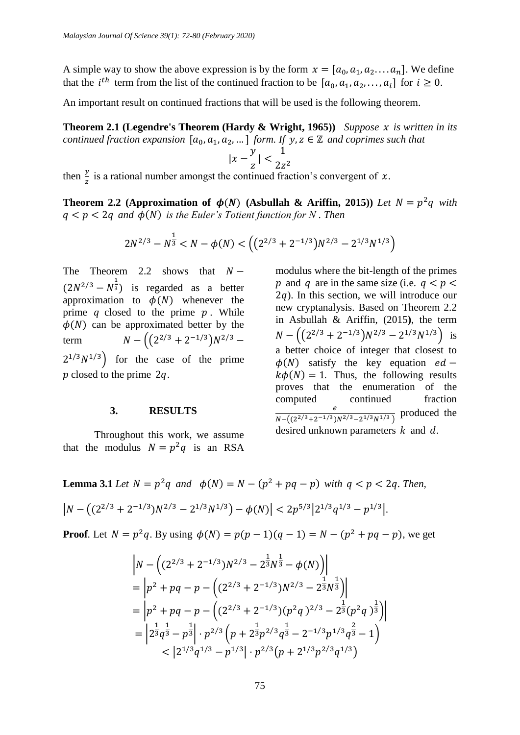A simple way to show the above expression is by the form  $x = [a_0, a_1, a_2, \ldots, a_n]$ . We define that the *i*<sup>th</sup> term from the list of the continued fraction to be  $[a_0, a_1, a_2, ..., a_i]$  for  $i \ge 0$ .

An important result on continued fractions that will be used is the following theorem.

**Theorem 2.1 (Legendre's Theorem (Hardy & Wright, 1965))** *Suppose is written in its continued fraction expansion*  $[a_0, a_1, a_2, \dots]$  *form. If y, z*  $\in \mathbb{Z}$  *and coprimes such that* 

$$
|x-\frac{y}{z}| < \frac{1}{2z^2}
$$

then  $\frac{y}{z}$  is a rational number amongst the continued fraction's convergent of x.

**Theorem 2.2** (Approximation of  $\phi(N)$  (Asbullah & Ariffin, 2015)) *Let*  $N = p^2q$  with  $q < p < 2q$  and  $\phi(N)$  is the Euler's Totient function for N. Then

$$
2N^{2/3}-N^{\frac{1}{3}}
$$

The Theorem 2.2 shows that  $N (2N^{2/3} - N^{\frac{1}{3}})$  is regarded as a better approximation to  $\phi(N)$  whenever the prime  $q$  closed to the prime  $p$ . While  $\phi(N)$  can be approximated better by the term  $N - ((2^{2/3} + 2^{-1/3})N^{2/3} 2^{1/3}N^{1/3}$  for the case of the prime  $p$  closed to the prime 2q.

## **3. RESULTS**

Throughout this work, we assume that the modulus  $N = p^2q$  is an RSA modulus where the bit-length of the primes p and q are in the same size (i.e.  $q < p <$  $2q$ ). In this section, we will introduce our new cryptanalysis. Based on Theorem 2.2 in Asbullah & Ariffin, (2015**)**, the term  $N - \left( \frac{2^{2/3} + 2^{-1/3}}{N^{2/3} - 2^{1/3} N^{1/3}} \right)$  is a better choice of integer that closest to  $\phi(N)$  satisfy the key equation  $ed$  –  $k\phi(N) = 1$ . Thus, the following results proves that the enumeration of the computed continued fraction  $\boldsymbol{e}$  $\frac{e}{N-\left((2^{2/3}+2^{-1/3})N^{2/3}-2^{1/3}N^{1/3}\right)}$  produced the desired unknown parameters  $k$  and  $d$ .

**Lemma 3.1** *Let*  $N = p^2q$  *and*  $\phi(N) = N - (p^2 + pq - p)$  *with*  $q < p < 2q$ . *Then,*  $|N-((2^{2/3}+2^{-1/3})N^{2/3}-2^{1/3}N^{1/3})-\phi(N)|<2p^{5/3}|2^{1/3}q^{1/3}-p^{1/3}|.$ 

**Proof**. Let  $N = p^2q$ . By using  $\phi(N) = p(p-1)(q-1) = N - (p^2 + pq - p)$ , we get

$$
\begin{aligned} &\left|N-\left((2^{2/3}+2^{-1/3})N^{2/3}-2^{\frac{1}{3}}N^{\frac{1}{3}}-\phi(N)\right)\right|\\ &=\left|p^2+pq-p-\left((2^{2/3}+2^{-1/3})N^{2/3}-2^{\frac{1}{3}}N^{\frac{1}{3}}\right)\right|\\ &=\left|p^2+pq-p-\left((2^{2/3}+2^{-1/3})(p^2q)^{2/3}-2^{\frac{1}{3}}(p^2q)^{\frac{1}{3}}\right)\right|\\ &=\left|2^{\frac{1}{3}}q^{\frac{1}{3}}-p^{\frac{1}{3}}\right|\cdot p^{2/3}\left(p+2^{\frac{1}{3}}p^{2/3}q^{\frac{1}{3}}-2^{-1/3}p^{1/3}q^{\frac{2}{3}}-1\right)\\ &<\left|2^{1/3}q^{1/3}-p^{1/3}\right|\cdot p^{2/3}\left(p+2^{1/3}p^{2/3}q^{1/3}\right) \end{aligned}
$$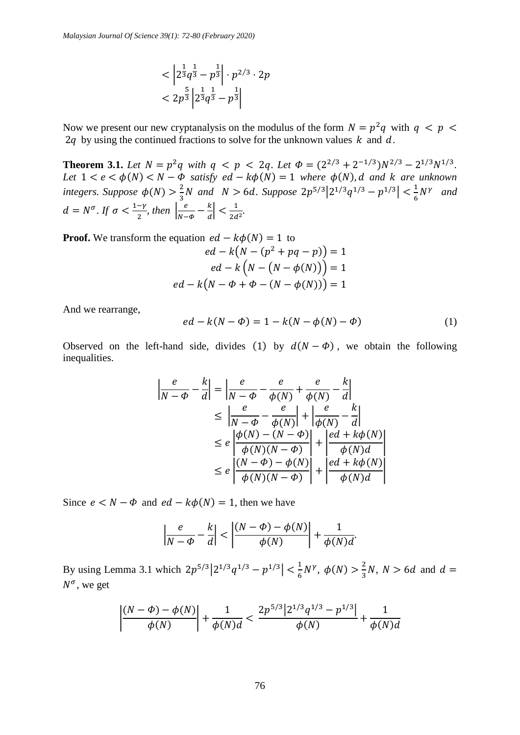$$
\langle \left| 2^{\frac{1}{3}} q^{\frac{1}{3}} - p^{\frac{1}{3}} \right| \cdot p^{2/3} \cdot 2p
$$
  
< 
$$
\langle 2p^{\frac{5}{3}} \left| 2^{\frac{1}{3}} q^{\frac{1}{3}} - p^{\frac{1}{3}} \right|
$$

Now we present our new cryptanalysis on the modulus of the form  $N = p^2q$  with  $q \leq p \leq$ 2q by using the continued fractions to solve for the unknown values  $k$  and  $d$ .

**Theorem 3.1.** Let  $N = p^2q$  with  $q < p < 2q$ . Let  $\Phi = (2^{2/3} + 2^{-1/3})N^{2/3} - 2^{1/3}N^{1/3}$ . *Let*  $1 < e < \phi(N) < N - \dot{\phi}$  *satisfy ed - k* $\phi(N) = 1$  *where*  $\phi(N)$ , *d and k are unknown integers.* Suppose  $\phi(N) > \frac{2}{3}$  $\frac{2}{3}N$  and  $N > 6d$ . Suppose  $2p^{5/3}|2^{1/3}q^{1/3} - p^{1/3}| < \frac{1}{6}$  $\frac{1}{6}N^{\gamma}$  and  $d = N^{\sigma}$ . If  $\sigma < \frac{1-\gamma}{2}$  $\frac{-\gamma}{2}$ , then  $\left| \frac{e}{N} \right|$  $\frac{e}{N-\Phi}-\frac{k}{d}$  $\left|\frac{k}{d}\right| < \frac{1}{2d}$  $\frac{1}{2d^2}$ .

**Proof.** We transform the equation  $ed - k\phi(N) = 1$  to  $ed - k(N - (p<sup>2</sup> + pq - p)) = 1$  $ed - k (N - (N - \phi(N))) = 1$  $ed - k(N - \Phi + \Phi - (N - \phi(N))) = 1$ 

And we rearrange,

$$
ed - k(N - \Phi) = 1 - k(N - \phi(N) - \Phi)
$$
 (1)

Observed on the left-hand side, divides (1) by  $d(N - \Phi)$ , we obtain the following inequalities.

$$
\left| \frac{e}{N - \phi} - \frac{k}{d} \right| = \left| \frac{e}{N - \phi} - \frac{e}{\phi(N)} + \frac{e}{\phi(N)} - \frac{k}{d} \right|
$$
  
\n
$$
\leq \left| \frac{e}{N - \phi} - \frac{e}{\phi(N)} \right| + \left| \frac{e}{\phi(N)} - \frac{k}{d} \right|
$$
  
\n
$$
\leq e \left| \frac{\phi(N) - (N - \phi)}{\phi(N)(N - \phi)} \right| + \left| \frac{ed + k\phi(N)}{\phi(N)d} \right|
$$
  
\n
$$
\leq e \left| \frac{(N - \phi) - \phi(N)}{\phi(N)(N - \phi)} \right| + \left| \frac{ed + k\phi(N)}{\phi(N)d} \right|
$$

Since  $e < N - \Phi$  and  $ed - k\phi(N) = 1$ , then we have

$$
\left|\frac{e}{N-\phi}-\frac{k}{d}\right|<\left|\frac{(N-\phi)-\phi(N)}{\phi(N)}\right|+\frac{1}{\phi(N)d}.
$$

By using Lemma 3.1 which  $2p^{5/3}|2^{1/3}q^{1/3}-p^{1/3}| < \frac{1}{6}$  $\frac{1}{6}N^{\gamma}, \phi(N) > \frac{2}{3}$  $\frac{2}{3}N$ ,  $N > 6d$  and  $d =$  $N^{\sigma}$ , we get

$$
\left|\frac{(N-\Phi)-\phi(N)}{\phi(N)}\right|+\frac{1}{\phi(N)d}<\frac{2p^{5/3}\left|2^{1/3}q^{1/3}-p^{1/3}\right|}{\phi(N)}+\frac{1}{\phi(N)d}
$$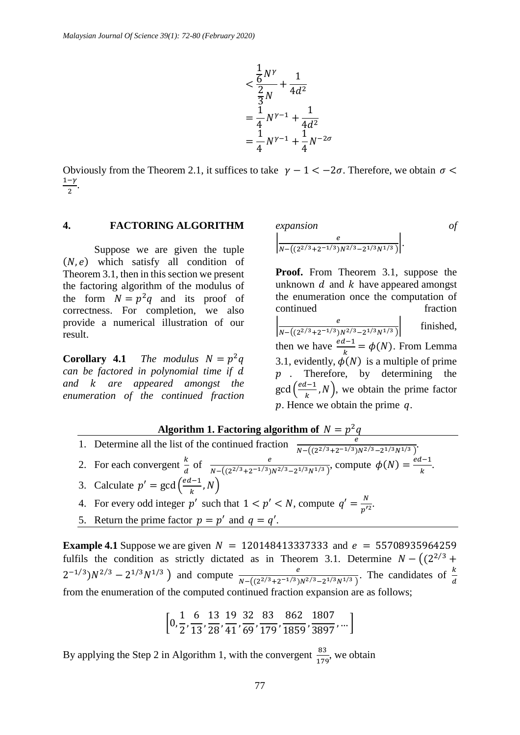

Obviously from the Theorem 2.1, it suffices to take  $\gamma - 1 < -2\sigma$ . Therefore, we obtain  $\sigma$  $1-\gamma$  $\frac{-r}{2}$ .

#### **4. FACTORING ALGORITHM**

Suppose we are given the tuple  $(N, e)$  which satisfy all condition of Theorem 3.1, then in this section we present the factoring algorithm of the modulus of the form  $N = p^2q$  and its proof of correctness. For completion, we also provide a numerical illustration of our result.

**Corollary 4.1** *The modulus*  $N = p^2q$ *can be factored in polynomial time if and are appeared amongst the enumeration of the continued fraction* 

expansion  
\n
$$
\left|\frac{e}{N-\left((2^{2/3}+2^{-1/3})N^{2/3}-2^{1/3}N^{1/3}\right)}\right|.
$$
\n*of*

**Proof.** From Theorem 3.1, suppose the unknown  $d$  and  $k$  have appeared amongst the enumeration once the computation of continued fraction  $\frac{e}{N}$  $N - \left( \frac{2^{2/3} + 2^{-1/3}}{N^{2/3} - 2^{1/3} N^{1/3}} \right)$ finished, then we have  $\frac{ed-1}{k} = \phi(N)$ . From Lemma 3.1, evidently,  $\phi(N)$  is a multiple of prime  $p$ . Therefore, by determining the  $gcd\left(\frac{ed-1}{l}\right)$  $\frac{k-1}{k}$ , N), we obtain the prime factor  $p$ . Hence we obtain the prime  $q$ .

Algorithm 1. Factoring algorithm of  $N = p^2q$ 

- 1. Determine all the list of the continued fraction  $\frac{e}{N-\left((2^{2/3}+2^{-1/3})N^{2/3}-2^{1/3}N^{1/3}\right)}$ .
- 2. For each convergent  $\frac{k}{d}$  of  $\frac{e}{N-\left((2^{2/3}+2^{-1/3})N^{2/3}-2^{1/3}N^{1/3}\right)}$ , compute  $\phi(N)=\frac{ed-1}{k}$  $\frac{k-1}{k}$ .
- 3. Calculate  $p' = \gcd\left(\frac{ed-1}{b}\right)$  $\frac{k-1}{k}, N$ )
- 4. For every odd integer p' such that  $1 < p' < N$ , compute  $q' = \frac{N}{p'^2}$ .
- 5. Return the prime factor  $p = p'$  and  $q = q'$ .

**Example 4.1** Suppose we are given  $N = 120148413337333$  and  $e = 55708935964259$ fulfils the condition as strictly dictated as in Theorem 3.1. Determine  $N - \left(\frac{2^{2}}{3} + \frac{1}{2^{2}}\right)$  $2^{-1/3}$ ) $N^{2/3} - 2^{1/3}N^{1/3}$  and compute  $\frac{e}{N - ((2^{2/3} + 2^{-1/3})N^{2/3} - 2^{1/3}N^{1/3})}$ . The candidates of  $\frac{k}{d}$ from the enumeration of the computed continued fraction expansion are as follows;

$$
\left[0,\frac{1}{2},\frac{6}{13},\frac{13}{28},\frac{19}{41},\frac{32}{69},\frac{83}{179},\frac{862}{1859},\frac{1807}{3897},\ldots\right]
$$

By applying the Step 2 in Algorithm 1, with the convergent  $\frac{83}{179}$ , we obtain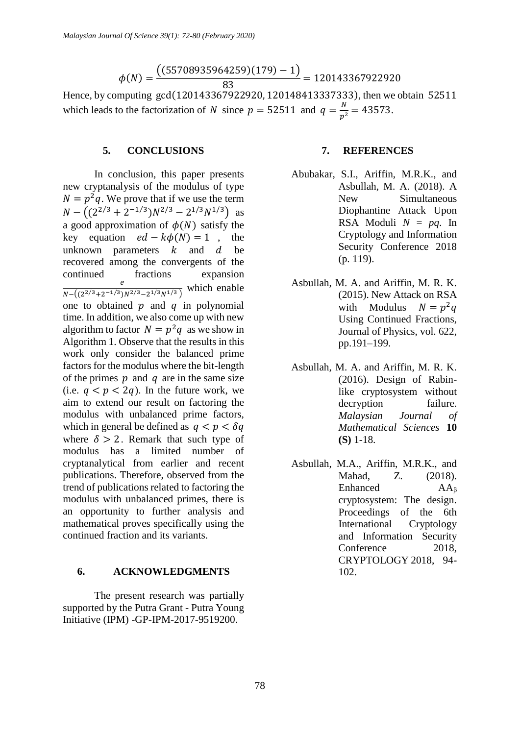$$
\phi(N)=\frac{\bigl((55708935964259)(179)-1\bigr)}{83}=120143367922920
$$

Hence, by computing gcd(120143367922920, 120148413337333), then we obtain 52511 which leads to the factorization of N since  $p = 52511$  and  $q = \frac{N}{p^2} = 43573$ .

## **5. CONCLUSIONS**

In conclusion, this paper presents new cryptanalysis of the modulus of type  $N = p^2 q$ . We prove that if we use the term  $N - ((2^{2/3} + 2^{-1/3})N^{2/3} - 2^{1/3}N^{1/3})$  as a good approximation of  $\phi(N)$  satisfy the key equation  $ed - k\phi(N) = 1$ , the unknown parameters  $k$  and  $d$  be recovered among the convergents of the continued fractions expansion e  $\frac{e}{N-\left((2^{2/3}+2^{-1/3})N^{2/3}-2^{1/3}N^{1/3}\right)}$  which enable one to obtained  $p$  and  $q$  in polynomial time. In addition, we also come up with new algorithm to factor  $N = p^2 q$  as we show in Algorithm 1. Observe that the results in this work only consider the balanced prime factors for the modulus where the bit-length of the primes  $p$  and  $q$  are in the same size (i.e.  $q < p < 2q$ ). In the future work, we aim to extend our result on factoring the modulus with unbalanced prime factors, which in general be defined as  $q < p < \delta q$ where  $\delta > 2$ . Remark that such type of modulus has a limited number of cryptanalytical from earlier and recent publications. Therefore, observed from the trend of publications related to factoring the modulus with unbalanced primes, there is an opportunity to further analysis and mathematical proves specifically using the continued fraction and its variants.

## **6. ACKNOWLEDGMENTS**

The present research was partially supported by the Putra Grant - Putra Young Initiative (IPM) -GP-IPM-2017-9519200.

## **7. REFERENCES**

- Abubakar, S.I., Ariffin, M.R.K., and Asbullah, M. A. (2018). A New Simultaneous Diophantine Attack Upon RSA Moduli  $N = pq$ . In Cryptology and Information Security Conference 2018 (p. 119).
- Asbullah, M. A. and Ariffin, M. R. K. (2015). New Attack on RSA with Modulus  $N = p^2 q$ Using Continued Fractions, Journal of Physics, vol. 622, pp.191–199.
- Asbullah, M. A. and Ariffin, M. R. K. (2016). Design of Rabinlike cryptosystem without decryption failure. *Malaysian Journal of Mathematical Sciences* **10 (S)** 1-18.
- Asbullah, M.A., Ariffin, M.R.K., and Mahad, Z. (2018). Enhanced AA<sup>β</sup> cryptosystem: The design. Proceedings of the 6th International Cryptology and Information Security Conference 2018, CRYPTOLOGY 2018, 94- 102.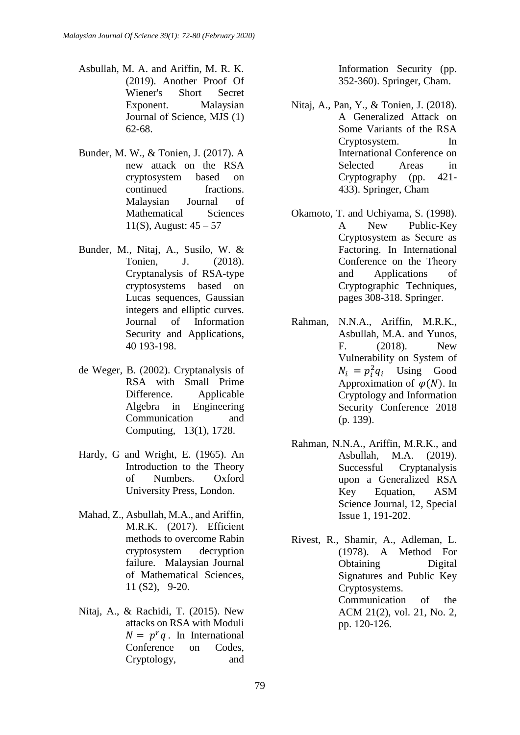- Asbullah, M. A. and Ariffin, M. R. K. (2019). Another Proof Of Wiener's Short Secret Exponent. Malaysian Journal of Science, MJS (1) 62-68.
- Bunder, M. W., & Tonien, J. (2017). A new attack on the RSA cryptosystem based on continued fractions. Malaysian Journal of Mathematical Sciences 11(S), August: 45 – 57
- Bunder, M., Nitaj, A., Susilo, W. & Tonien, J. (2018). Cryptanalysis of RSA-type cryptosystems based on Lucas sequences, Gaussian integers and elliptic curves. Journal of Information Security and Applications, 40 193-198.
- de Weger, B. (2002). Cryptanalysis of RSA with Small Prime Difference. Applicable Algebra in Engineering Communication and Computing, 13(1), 1728.
- Hardy, G and Wright, E. (1965). An Introduction to the Theory of Numbers. Oxford University Press, London.
- Mahad, Z., Asbullah, M.A., and Ariffin, M.R.K. (2017). Efficient methods to overcome Rabin cryptosystem decryption failure. Malaysian Journal of Mathematical Sciences, 11 (S2), 9-20.
- Nitaj, A., & Rachidi, T. (2015). New attacks on RSA with Moduli  $N = p<sup>r</sup>q$ . In International Conference on Codes, Cryptology, and

Information Security (pp. 352-360). Springer, Cham.

- Nitaj, A., Pan, Y., & Tonien, J. (2018). A Generalized Attack on Some Variants of the RSA Cryptosystem. In International Conference on Selected Areas in Cryptography (pp. 421- 433). Springer, Cham
- Okamoto, T. and Uchiyama, S. (1998). A New Public-Key Cryptosystem as Secure as Factoring. In International Conference on the Theory and Applications of Cryptographic Techniques, pages 308-318. Springer.
- Rahman, N.N.A., Ariffin, M.R.K., Asbullah, M.A. and Yunos, F. (2018). New Vulnerability on System of  $N_i = p_i^2 q_i$  Using Good Approximation of  $\varphi(N)$ . In Cryptology and Information Security Conference 2018 (p. 139).
- Rahman, N.N.A., Ariffin, M.R.K., and Asbullah, M.A. (2019). Successful Cryptanalysis upon a Generalized RSA Key Equation, ASM Science Journal, 12, Special Issue 1, 191-202.
- Rivest, R., Shamir, A., Adleman, L. (1978). A Method For Obtaining Digital Signatures and Public Key Cryptosystems. Communication of the ACM 21(2), vol. 21, No. 2, pp. 120-126.